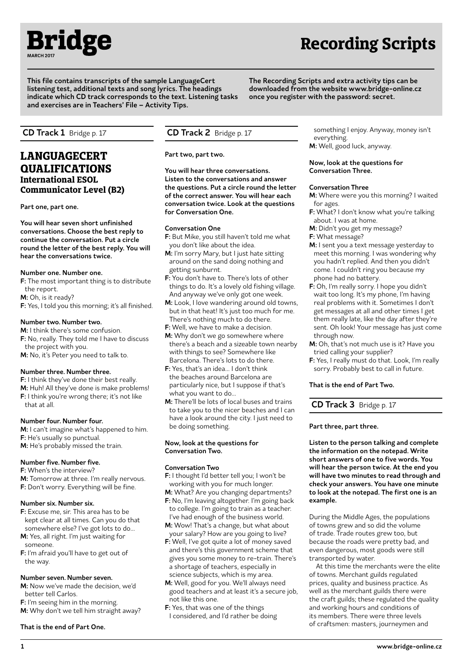

**This file contains transcripts of the sample LanguageCert listening test, additional texts and song lyrics. The headings indicate which CD track corresponds to the text. Listening tasks and exercises are in Teachers' File – Activity Tips.**

# **Recording Scripts**

**The Recording Scripts and extra activity tips can be downloaded from the website www.bridge-online.cz once you register with the password: secret.**

**CD Track 1** Bridge p. 17

### **LANGUAGECERT QUALIFICATIONS International ESOL Communicator Level (B2)**

**Part one, part one.** 

**You will hear seven short unfinished conversations. Choose the best reply to continue the conversation. Put a circle round the letter of the best reply. You will hear the conversations twice.** 

#### **Number one. Number one.**

**F:** The most important thing is to distribute the report.

**M:** Oh, is it ready?

**F:** Yes, I told you this morning; it's all finished.

### **Number two. Number two.**

**M:** I think there's some confusion.

**F:** No, really. They told me I have to discuss the project with you.

**M:** No, it's Peter you need to talk to.

### **Number three. Number three.**

- **F:** I think they've done their best really.
- **M:** Huh! All they've done is make problems! **F:** I think you're wrong there; it's not like that at all.

### **Number four. Number four.**

**M:** I can't imagine what's happened to him. **F:** He's usually so punctual. **M:** He's probably missed the train.

#### **Number five. Number five.**

- **F:** When's the interview?
- **M:** Tomorrow at three. I'm really nervous.
- **F:** Don't worry. Everything will be fine.

#### **Number six. Number six.**

- **F:** Excuse me, sir. This area has to be kept clear at all times. Can you do that somewhere else? I've got lots to do…
- **M:** Yes, all right. I'm just waiting for someone.
- **F:** I'm afraid you'll have to get out of the way.

#### **Number seven. Number seven.**

**M:** Now we've made the decision, we'd better tell Carlos.

### **F:** I'm seeing him in the morning.

**M:** Why don't we tell him straight away?

#### **That is the end of Part One.**

### **CD Track 2** Bridge p. 17

**Part two, part two.** 

**You will hear three conversations. Listen to the conversations and answer the questions. Put a circle round the letter of the correct answer. You will hear each conversation twice. Look at the questions for Conversation One.**

#### **Conversation One**

- **F:** But Mike, you still haven't told me what you don't like about the idea.
- **M:** I'm sorry Mary, but I just hate sitting around on the sand doing nothing and getting sunburnt.
- **F:** You don't have to. There's lots of other things to do. It's a lovely old fishing village. And anyway we've only got one week.
- **M:** Look, I love wandering around old towns, but in that heat! It's just too much for me. There's nothing much to do there. **F:** Well, we have to make a decision.
- **M:** Why don't we go somewhere where there's a beach and a sizeable town nearby with things to see? Somewhere like Barcelona. There's lots to do there.
- **F:** Yes, that's an idea… I don't think the beaches around Barcelona are particularly nice, but I suppose if that's what you want to do…
- **M:** There'll be lots of local buses and trains to take you to the nicer beaches and I can have a look around the city. I just need to be doing something.

#### **Now, look at the questions for Conversation Two.**

### **Conversation Two**

- **F:** I thought I'd better tell you; I won't be working with you for much longer.
- **M:** What? Are you changing departments? **F:** No, I'm leaving altogether. I'm going back
- to college. I'm going to train as a teacher. I've had enough of the business world.
- **M:** Wow! That's a change, but what about your salary? How are you going to live?
- **F:** Well, I've got quite a lot of money saved and there's this government scheme that gives you some money to re-train. There's a shortage of teachers, especially in science subjects, which is my area.
- **M:** Well, good for you. We'll always need good teachers and at least it's a secure job, not like this one.
- **F:** Yes, that was one of the things I considered, and I'd rather be doing

something I enjoy. Anyway, money isn't everything.

**M:** Well, good luck, anyway.

#### **Now, look at the questions for Conversation Three.**

#### **Conversation Three**

- **M:** Where were you this morning? I waited for ages.
- **F:** What? I don't know what you're talking about. I was at home.

**M:** Didn't you get my message?

- **F:** What message?
- **M:** I sent you a text message yesterday to meet this morning. I was wondering why you hadn't replied. And then you didn't come. I couldn't ring you because my phone had no battery.
- **F:** Oh, I'm really sorry. I hope you didn't wait too long. It's my phone, I'm having real problems with it. Sometimes I don't get messages at all and other times I get them really late, like the day after they're sent. Oh look! Your message has just come through now.
- **M:** Oh, that's not much use is it? Have you tried calling your supplier?
- **F:** Yes, I really must do that. Look, I'm really sorry. Probably best to call in future.

**That is the end of Part Two.**

**CD Track 3** Bridge p. 17

**Part three, part three.** 

**Listen to the person talking and complete the information on the notepad. Write short answers of one to five words. You will hear the person twice. At the end you will have two minutes to read through and check your answers. You have one minute to look at the notepad. The first one is an example.** 

During the Middle Ages, the populations of towns grew and so did the volume of trade. Trade routes grew too, but because the roads were pretty bad, and even dangerous, most goods were still transported by water.

At this time the merchants were the elite of towns. Merchant guilds regulated prices, quality and business practice. As well as the merchant guilds there were the craft guilds; these regulated the quality and working hours and conditions of its members. There were three levels of craftsmen: masters, journeymen and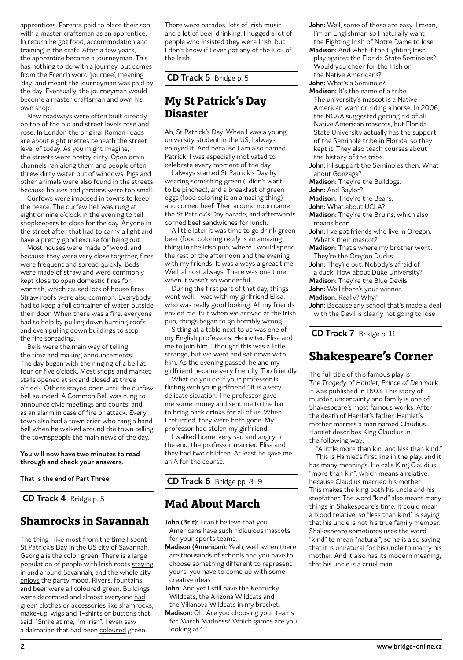apprentices. Parents paid to place their son with a master craftsman as an apprentice. In return he got food, accommodation and training in the craft. After a few years, the apprentice became a journeyman. This has nothing to do with a journey, but comes from the French word 'journee', meaning 'day' and meant the journeyman was paid by the day. Eventually, the journeyman would become a master craftsman and own his own shop.

New roadways were often built directly on top of the old and street levels rose and rose. In London the original Roman roads are about eight metres beneath the street level of today. As you might imagine, the streets were pretty dirty. Open drain channels ran along them and people often threw dirty water out of windows. Pigs and other animals were also found in the streets because houses and gardens were too small.

Curfews were imposed in towns to keep the peace. The curfew bell was rung at eight or nine o'clock in the evening to tell shopkeepers to close for the day. Anyone in the street after that had to carry a light and have a pretty good excuse for being out.

Most houses were made of wood, and because they were very close together, fires were frequent and spread quickly. Beds were made of straw and were commonly kept close to open domestic fires for warmth, which caused lots of house fires. Straw roofs were also common. Everybody had to keep a full container of water outside their door. When there was a fire, everyone had to help by pulling down burning roofs and even pulling down buildings to stop the fire spreading.

Bells were the main way of telling the time and making announcements. The day began with the ringing of a bell at four or five o'clock. Most shops and market stalls opened at six and closed at three o'clock. Others stayed open until the curfew bell sounded. A Common Bell was rung to announce civic meetings and courts, and as an alarm in case of fire or attack. Every town also had a town crier who rang a hand bell when he walked around the town telling the townspeople the main news of the day.

#### **You will now have two minutes to read through and check your answers.**

**That is the end of Part Three.**

**CD Track 4** Bridge p. 5

# **Shamrocks in Savannah**

The thing I like most from the time I spent St Patrick's Day in the US city of Savannah, Georgia is the color green. There is a large population of people with Irish roots staying in and around Savannah, and the whole city enjoys the party mood. Rivers, fountains and beer were all **coloured** green. Buildings were decorated and almost everyone had green clothes or accessories like shamrocks, make-up, wigs and T-shirts or buttons that said, "Smile at me, I'm Irish". I even saw a dalmatian that had been coloured green.

There were parades, lots of Irish music and a lot of beer drinking. I hugged a lot of people who insisted they were Irish, but I don't know if I ever got any of the luck of the Irish.

### **CD Track 5** Bridge p. 5

### **My St Patrick's Day Disaster**

Ah, St Patrick's Day. When I was a young university student in the US, I always enjoyed it. And because I am also named Patrick, I was especially motivated to celebrate every moment of the day.

I always started St Patrick's Day by wearing something green (I didn't want to be pinched), and a breakfast of green eggs (food coloring is an amazing thing) and corned beef. Then around noon came the St Patrick's Day parade, and afterwards corned beef sandwiches for lunch.

A little later it was time to go drink green beer (food coloring *really* is an amazing thing) in the Irish pub, where I would spend the rest of the afternoon and the evening with my friends. It was always a great time. Well, almost always. There was one time when it wasn't so wonderful.

During the first part of that day, things went well. I was with my girlfriend Elisa, who was really good looking. All my friends envied me. But when we arrived at the Irish pub, things began to go horribly wrong.

Sitting at a table next to us was one of my English professors. He invited Elisa and me to join him. I thought this was a little strange, but we went and sat down with him. As the evening passed, he and my girlfriend became very friendly. Too friendly.

What do you do if your professor is flirting with your girlfriend? It is a very delicate situation. The professor gave me some money and sent me to the bar to bring back drinks for all of us. When I returned, they were both gone. My professor had stolen my girlfriend!

I walked home, very sad and angry. In the end, the professor married Elisa and they had two children. At least he gave me an A for the course.

**CD Track 6** Bridge pp. 8–9

# **Mad About March**

- John (Brit): I can't believe that you Americans have such ridiculous mascots for your sports teams.
- **Madison (American):** Yeah, well, when there are thousands of schools and you have to choose something different to represent yours, you have to come up with some creative ideas.
- John: And yet I still have the Kentucky Wildcats, the Arizona Wildcats and the Villanova Wildcats in my bracket.
- **Madison:** Oh. Are you choosing your teams for March Madness? Which games are you looking at?
- **John:** Well, some of these are easy. I mean, I'm an Englishman so I naturally want the Fighting Irish of Notre Dame to lose.
- **Madison:** And what if the Fighting Irish play against the Florida State Seminoles? Would you cheer for the Irish or the Native Americans?
- **John:** What's a Seminole?
- **Madison:** It's the name of a tribe. The university's mascot is a Native American warrior riding a horse. In 2006, the NCAA suggested getting rid of all Native American mascots, but Florida State University actually has the support of the Seminole tribe in Florida, so they kept it. They also teach courses about the history of the tribe.
- **John:** I'll support the Seminoles then. What about Gonzaga?

**Madison:** They're the Bulldogs. **John:** And Baylor?

- 
- **Madison:** They're the Bears. **John:** What about UCLA?
- **Madison:** They're the Bruins, which also means bear.
- **John:** I've got friends who live in Oregon. What's their mascot?
- **Madison:** That's where my brother went. They're the Oregon Ducks.
- **John:** They're out. Nobody's afraid of a duck. How about Duke University?
- **Madison:** They're the Blue Devils.
- **John:** Well there's your winner.
- **Madison:** Really? Why?
- **John:** Because any school that's made a deal with the Devil is clearly not going to lose.

**CD Track 7** Bridge p. 11

# **Shakespeare's Corner**

The full title of this famous play is *The Tragedy of Hamlet, Prince of Denmark*. It was published in 1603. This story of murder, uncertainty and family is one of Shakespeare's most famous works. After the death of Hamlet's father, Hamlet's mother marries a man named Claudius. Hamlet describes King Claudius in the following way:

"A little more than kin, and less than kind." This is Hamlet's first line in the play, and it has many meanings. He calls King Claudius "more than kin", which means a relative, because Claudius married his mother. This makes the king both his uncle and his stepfather. The word "kind" also meant many things in Shakespeare's time. It could mean a blood relative, so "less than kind" is saying that his uncle is not his true family member. Shakespeare sometimes uses the word "kind" to mean "natural", so he is also saying that it is unnatural for his uncle to marry his mother. And it also has its modern meaning, that his uncle is a cruel man.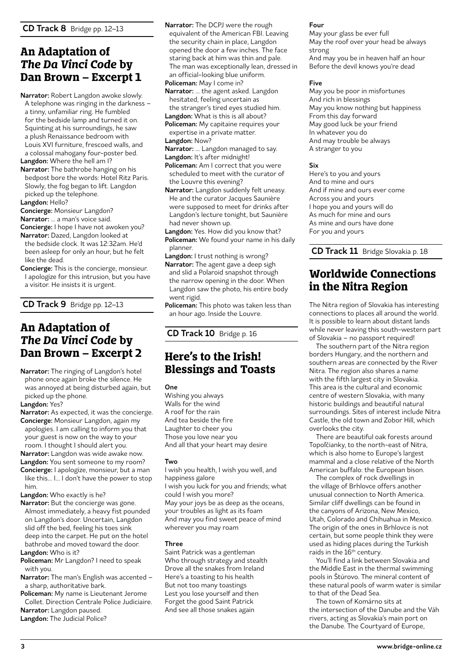### **An Adaptation of**  *The Da Vinci Code* **by Dan Brown – Excerpt 1**

- **Narrator:** Robert Langdon awoke slowly. A telephone was ringing in the darkness – a tinny, unfamiliar ring. He fumbled for the bedside lamp and turned it on. Squinting at his surroundings, he saw a plush Renaissance bedroom with Louis XVI furniture, frescoed walls, and a colossal mahogany four-poster bed. **Langdon:** Where the hell am I?
- **Narrator:** The bathrobe hanging on his bedpost bore the words: Hotel Ritz Paris. Slowly, the fog began to lift. Langdon picked up the telephone.

**Langdon:** Hello?

**Concierge:** Monsieur Langdon?

**Narrator:** … a man's voice said.

**Concierge:** I hope I have not awoken you? **Narrator:** Dazed, Langdon looked at

the bedside clock. It was 12:32am. He'd been asleep for only an hour, but he felt like the dead.

**Concierge:** This is the concierge, monsieur. I apologize for this intrusion, but you have a visitor. He insists it is urgent.

**CD Track 9** Bridge pp. 12–13

# **An Adaptation of**  *The Da Vinci Code* **by Dan Brown – Excerpt 2**

**Narrator:** The ringing of Langdon's hotel phone once again broke the silence. He was annoyed at being disturbed again, but picked up the phone.

**Langdon:** Yes?

**Narrator:** As expected, it was the concierge. **Concierge:** Monsieur Langdon, again my apologies. I am calling to inform you that your guest is now on the way to your

room. I thought I should alert you. **Narrator:** Langdon was wide awake now.

**Langdon:** You sent someone to my room?

**Concierge:** I apologize, monsieur, but a man like this... I... I don't have the power to stop him.

**Langdon:** Who exactly is he?

**Narrator:** But the concierge was gone. Almost immediately, a heavy fist pounded on Langdon's door. Uncertain, Langdon slid off the bed, feeling his toes sink deep into the carpet. He put on the hotel bathrobe and moved toward the door.

**Langdon:** Who is it?

- **Policeman:** Mr Langdon? I need to speak with you.
- **Narrator:** The man's English was accented a sharp, authoritative bark.

**Policeman:** My name is Lieutenant Jerome Collet. Direction Centrale Police Judiciaire. **Narrator:** Langdon paused. **Langdon:** The Judicial Police?

**Narrator:** The DCPJ were the rough equivalent of the American FBI. Leaving the security chain in place, Langdon opened the door a few inches. The face staring back at him was thin and pale. The man was exceptionally lean, dressed in an official-looking blue uniform.

**Policeman:** May I come in?

**Narrator:** … the agent asked. Langdon hesitated, feeling uncertain as the stranger's tired eyes studied him. **Langdon:** What is this is all about?

**Policeman:** My capitaine requires your expertise in a private matter.

**Langdon:** Now?

- **Narrator:** … Langdon managed to say. **Langdon:** It's after midnight!
- **Policeman:** Am I correct that you were scheduled to meet with the curator of the Louvre this evening?
- **Narrator:** Langdon suddenly felt uneasy. He and the curator Jacques Saunière were supposed to meet for drinks after Langdon's lecture tonight, but Saunière had never shown up.
- **Langdon:** Yes. How did you know that?
- **Policeman:** We found your name in his daily planner.
- **Langdon:** I trust nothing is wrong?
- **Narrator:** The agent gave a deep sigh and slid a Polaroid snapshot through the narrow opening in the door. When Langdon saw the photo, his entire body went rigid.

**Policeman:** This photo was taken less than an hour ago. Inside the Louvre.

**CD Track 10** Bridge p. 16

### **Here's to the Irish! Blessings and Toasts**

### **One**

Wishing you always Walls for the wind A roof for the rain And tea beside the fire Laughter to cheer you Those you love near you And all that your heart may desire

### **Two**

I wish you health, I wish you well, and happiness galore

I wish you luck for you and friends; what could I wish you more? May your joys be as deep as the oceans, your troubles as light as its foam And may you find sweet peace of mind wherever you may roam

### **Three**

Saint Patrick was a gentleman Who through strategy and stealth Drove all the snakes from Ireland Here's a toasting to his health But not too many toastings Lest you lose yourself and then Forget the good Saint Patrick And see all those snakes again

### **Four**

May your glass be ever full May the roof over your head be always strong And may you be in heaven half an hour Before the devil knows you're dead

### **Five**

May you be poor in misfortunes And rich in blessings May you know nothing but happiness From this day forward May good luck be your friend In whatever you do And may trouble be always A stranger to you

### **Six**

Here's to you and yours And to mine and ours And if mine and ours ever come Across you and yours I hope you and yours will do As much for mine and ours As mine and ours have done For you and yours

**CD Track 11** Bridge Slovakia p. 18

# **Worldwide Connections in the Nitra Region**

The Nitra region of Slovakia has interesting connections to places all around the world. It is possible to learn about distant lands while never leaving this south-western part of Slovakia – no passport required!

The southern part of the Nitra region borders Hungary, and the northern and southern areas are connected by the River Nitra. The region also shares a name with the fifth largest city in Slovakia. This area is the cultural and economic centre of western Slovakia, with many historic buildings and beautiful natural surroundings. Sites of interest include Nitra Castle, the old town and Zobor Hill, which overlooks the city.

There are beautiful oak forests around Topoľčianky, to the north-east of Nitra, which is also home to Europe's largest mammal and a close relative of the North American buffalo: the European bison.

The complex of rock dwellings in the village of Brhlovce offers another unusual connection to North America. Similar cliff dwellings can be found in the canyons of Arizona, New Mexico, Utah, Colorado and Chihuahua in Mexico. The origin of the ones in Brhlovce is not certain, but some people think they were used as hiding places during the Turkish raids in the  $16<sup>th</sup>$  century.

You'll find a link between Slovakia and the Middle East in the thermal swimming pools in Štúrovo. The mineral content of these natural pools of warm water is similar to that of the Dead Sea.

The town of Komárno sits at the intersection of the Danube and the Váh rivers, acting as Slovakia's main port on the Danube. The Courtyard of Europe,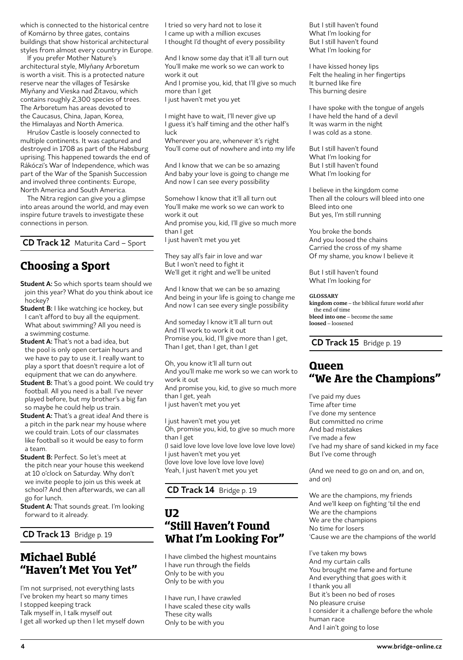which is connected to the historical centre of Komárno by three gates, contains buildings that show historical architectural styles from almost every country in Europe.

If you prefer Mother Nature's architectural style, Mlyňany Arboretum is worth a visit. This is a protected nature reserve near the villages of Tesárske Mlyňany and Vieska nad Žitavou, which contains roughly 2,300 species of trees. The Arboretum has areas devoted to the Caucasus, China, Japan, Korea, the Himalayas and North America.

Hrušov Castle is loosely connected to multiple continents. It was captured and destroyed in 1708 as part of the Habsburg uprising. This happened towards the end of Rákóczi's War of Independence, which was part of the War of the Spanish Succession and involved three continents: Europe, North America and South America.

The Nitra region can give you a glimpse into areas around the world, and may even inspire future travels to investigate these connections in person.

**CD Track 12** Maturita Card – Sport

# **Choosing a Sport**

- **Student A:** So which sports team should we join this year? What do you think about ice hockey?
- **Student B:** I like watching ice hockey, but I can't afford to buy all the equipment. What about swimming? All you need is a swimming costume.
- **Student A:** That's not a bad idea, but the pool is only open certain hours and we have to pay to use it. I really want to play a sport that doesn't require a lot of equipment that we can do anywhere.
- **Student B:** That's a good point. We could try football. All you need is a ball. I've never played before, but my brother's a big fan so maybe he could help us train.
- **Student A:** That's a great idea! And there is a pitch in the park near my house where we could train. Lots of our classmates like football so it would be easy to form a team.
- **Student B:** Perfect. So let's meet at the pitch near your house this weekend at 10 o'clock on Saturday. Why don't we invite people to join us this week at school? And then afterwards, we can all go for lunch.
- **Student A:** That sounds great. I'm looking forward to it already.

**CD Track 13** Bridge p. 19

### **Michael Bublé "Haven't Met You Yet"**

I'm not surprised, not everything lasts I've broken my heart so many times I stopped keeping track Talk myself in, I talk myself out I get all worked up then I let myself down I tried so very hard not to lose it I came up with a million excuses I thought I'd thought of every possibility

And I know some day that it'll all turn out You'll make me work so we can work to work it out And I promise you, kid, that I'll give so much more than I get I just haven't met you yet

I might have to wait, I'll never give up I guess it's half timing and the other half's luck

Wherever you are, whenever it's right You'll come out of nowhere and into my life

And I know that we can be so amazing And baby your love is going to change me And now I can see every possibility

Somehow I know that it'll all turn out You'll make me work so we can work to work it out And promise you, kid, I'll give so much more than I get

I just haven't met you yet

They say all's fair in love and war But I won't need to fight it We'll get it right and we'll be united

And I know that we can be so amazing And being in your life is going to change me And now I can see every single possibility

And someday I know it'll all turn out And I'll work to work it out Promise you, kid, I'll give more than I get, Than I get, than I get, than I get

Oh, you know it'll all turn out And you'll make me work so we can work to work it out And promise you, kid, to give so much more than I get, yeah I just haven't met you yet

I just haven't met you yet Oh, promise you, kid, to give so much more than I get (I said love love love love love love love love) I just haven't met you yet (love love love love love love love) Yeah, I just haven't met you yet

**CD Track 14** Bridge p. 19

### **U2 "Still Haven't Found What I'm Looking For"**

I have climbed the highest mountains I have run through the fields Only to be with you Only to be with you

I have run, I have crawled I have scaled these city walls These city walls Only to be with you

But I still haven't found What I'm looking for But I still haven't found What I'm looking for

I have kissed honey lips Felt the healing in her fingertips It burned like fire This burning desire

I have spoke with the tongue of angels I have held the hand of a devil It was warm in the night I was cold as a stone.

But I still haven't found What I'm looking for But I still haven't found What I'm looking for

I believe in the kingdom come Then all the colours will bleed into one Bleed into one But yes, I'm still running

You broke the bonds And you loosed the chains Carried the cross of my shame Of my shame, you know I believe it

But I still haven't found What I'm looking for

### **Glossary**

**kingdom come** – the biblical future world after the end of time **bleed into one** – become the same **loosed** – loosened

**CD Track 15** Bridge p. 19

### **Queen "We Are the Champions"**

I've paid my dues Time after time I've done my sentence But committed no crime And bad mistakes I've made a few I've had my share of sand kicked in my face But I've come through

(And we need to go on and on, and on, and on)

We are the champions, my friends And we'll keep on fighting 'til the end We are the champions We are the champions No time for losers 'Cause we are the champions of the world

I've taken my bows And my curtain calls You brought me fame and fortune And everything that goes with it I thank you all But it's been no bed of roses No pleasure cruise I consider it a challenge before the whole human race And I ain't going to lose